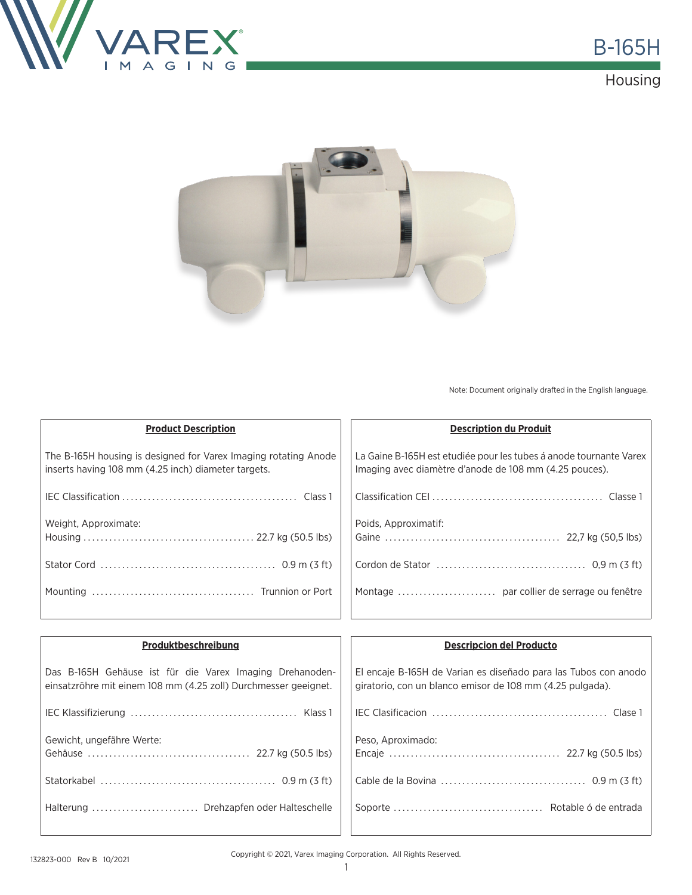





Note: Document originally drafted in the English language.

| <b>Product Description</b>                                                                                             | <b>Description du Produit</b>                                                                                                |
|------------------------------------------------------------------------------------------------------------------------|------------------------------------------------------------------------------------------------------------------------------|
| The B-165H housing is designed for Varex Imaging rotating Anode<br>inserts having 108 mm (4.25 inch) diameter targets. | La Gaine B-165H est etudiée pour les tubes á anode tournante Varex<br>Imaging avec diamètre d'anode de 108 mm (4.25 pouces). |
|                                                                                                                        |                                                                                                                              |
| Weight, Approximate:                                                                                                   | Poids, Approximatif:                                                                                                         |
|                                                                                                                        | Cordon de Stator $\dots\dots\dots\dots\dots\dots\dots\dots\dots\dots$ 0,9 m (3 ft)                                           |
|                                                                                                                        |                                                                                                                              |

| Produktbeschreibung                                                                                                         | <b>Descripcion del Producto</b>                                                                                              |
|-----------------------------------------------------------------------------------------------------------------------------|------------------------------------------------------------------------------------------------------------------------------|
| Das B-165H Gehäuse ist für die Varex Imaging Drehanoden-<br>einsatzröhre mit einem 108 mm (4.25 zoll) Durchmesser geeignet. | El encaje B-165H de Varian es diseñado para las Tubos con anodo<br>giratorio, con un blanco emisor de 108 mm (4.25 pulgada). |
|                                                                                                                             |                                                                                                                              |
| Gewicht, ungefähre Werte:                                                                                                   | Peso, Aproximado:                                                                                                            |
|                                                                                                                             |                                                                                                                              |
| Halterung  Drehzapfen oder Halteschelle                                                                                     |                                                                                                                              |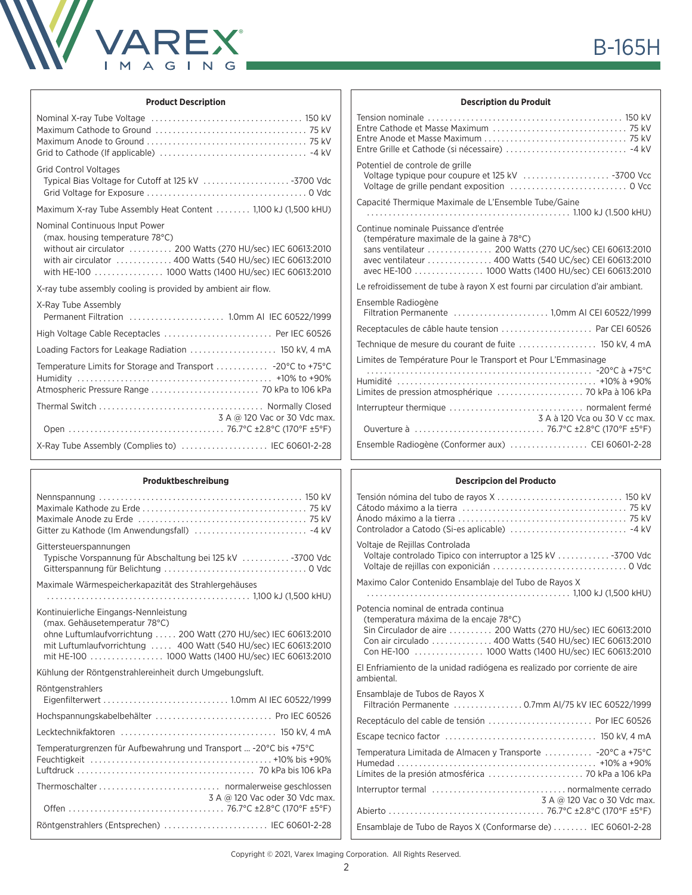

## **Product Description**

| <b>Grid Control Voltages</b><br>Typical Bias Voltage for Cutoff at 125 kV 3700 Vdc                                                                                                                                                                     |
|--------------------------------------------------------------------------------------------------------------------------------------------------------------------------------------------------------------------------------------------------------|
| Maximum X-ray Tube Assembly Heat Content  1,100 kJ (1,500 kHU)                                                                                                                                                                                         |
| Nominal Continuous Input Power<br>(max. housing temperature 78°C)<br>without air circulator 200 Watts (270 HU/sec) IEC 60613:2010<br>with air circulator 400 Watts (540 HU/sec) IEC 60613:2010<br>with HE-100  1000 Watts (1400 HU/sec) IEC 60613:2010 |
| X-ray tube assembly cooling is provided by ambient air flow.                                                                                                                                                                                           |
| X-Ray Tube Assembly                                                                                                                                                                                                                                    |
|                                                                                                                                                                                                                                                        |
| High Voltage Cable Receptacles  Per IEC 60526                                                                                                                                                                                                          |
| Loading Factors for Leakage Radiation  150 kV, 4 mA                                                                                                                                                                                                    |
|                                                                                                                                                                                                                                                        |
| 3 A @ 120 Vac or 30 Vdc max.                                                                                                                                                                                                                           |

#### **Produktbeschreibung**

| L LAMMINA 2011 CINNIIÀ                                                                                                                                                                                                                                               |
|----------------------------------------------------------------------------------------------------------------------------------------------------------------------------------------------------------------------------------------------------------------------|
|                                                                                                                                                                                                                                                                      |
| Gittersteuerspannungen<br>Typische Vorspannung für Abschaltung bei 125 kV  - 3700 Vdc                                                                                                                                                                                |
| Maximale Wärmespeicherkapazität des Strahlergehäuses                                                                                                                                                                                                                 |
| Kontinuierliche Eingangs-Nennleistung<br>(max. Gehäusetemperatur 78°C)<br>ohne Luftumlaufvorrichtung  200 Watt (270 HU/sec) IEC 60613:2010<br>mit Luftumlaufvorrichtung  400 Watt (540 HU/sec) IEC 60613:2010<br>mit HE-100  1000 Watts (1400 HU/sec) IEC 60613:2010 |
| Kühlung der Röntgenstrahlereinheit durch Umgebungsluft.                                                                                                                                                                                                              |
| Röntgenstrahlers                                                                                                                                                                                                                                                     |
| Hochspannungskabelbehälter  Pro IEC 60526                                                                                                                                                                                                                            |
|                                                                                                                                                                                                                                                                      |
| Temperaturgrenzen für Aufbewahrung und Transport  -20°C bis +75°C                                                                                                                                                                                                    |
| 3 A @ 120 Vac oder 30 Vdc max.                                                                                                                                                                                                                                       |
| Röntgenstrahlers (Entsprechen)  IEC 60601-2-28                                                                                                                                                                                                                       |

### **Description du Produit**

| Potentiel de controle de grille                                                                                                                                                                                                                                |
|----------------------------------------------------------------------------------------------------------------------------------------------------------------------------------------------------------------------------------------------------------------|
| Capacité Thermique Maximale de L'Ensemble Tube/Gaine                                                                                                                                                                                                           |
| Continue nominale Puissance d'entrée<br>(température maximale de la gaine à 78°C)<br>sans ventilateur  200 Watts (270 UC/sec) CEI 60613:2010<br>avec ventilateur  400 Watts (540 UC/sec) CEI 60613:2010<br>avec HE-100 1000 Watts (1400 HU/sec) CEI 60613:2010 |
| Le refroidissement de tube à rayon X est fourni par circulation d'air ambiant.                                                                                                                                                                                 |
| Ensemble Radiogène                                                                                                                                                                                                                                             |
| Receptacules de câble haute tension  Par CEI 60526                                                                                                                                                                                                             |
|                                                                                                                                                                                                                                                                |
| Limites de Température Pour le Transport et Pour L'Emmasinage                                                                                                                                                                                                  |
| 3 A à 120 Vca ou 30 V cc max.                                                                                                                                                                                                                                  |
| Ensemble Radiogène (Conformer aux)  CEI 60601-2-28                                                                                                                                                                                                             |

### **Descripcion del Producto**

| Voltaje de Rejillas Controlada<br>Voltaje controlado Tipico con interruptor a 125 kV 3700 Vdc<br>Maximo Calor Contenido Ensamblaje del Tubo de Rayos X<br>Potencia nominal de entrada continua<br>(temperatura máxima de la encaje 78°C)<br>Sin Circulador de aire  200 Watts (270 HU/sec) IEC 60613:2010<br>Con air circulado  400 Watts (540 HU/sec) IEC 60613:2010<br>Con HE-100  1000 Watts (1400 HU/sec) IEC 60613:2010<br>El Enfriamiento de la unidad radiógena es realizado por corriente de aire<br>ambiental.<br>Ensamblaje de Tubos de Rayos X<br>Filtración Permanente  0.7mm AI/75 kV IEC 60522/1999 |
|-------------------------------------------------------------------------------------------------------------------------------------------------------------------------------------------------------------------------------------------------------------------------------------------------------------------------------------------------------------------------------------------------------------------------------------------------------------------------------------------------------------------------------------------------------------------------------------------------------------------|
|                                                                                                                                                                                                                                                                                                                                                                                                                                                                                                                                                                                                                   |
|                                                                                                                                                                                                                                                                                                                                                                                                                                                                                                                                                                                                                   |
|                                                                                                                                                                                                                                                                                                                                                                                                                                                                                                                                                                                                                   |
|                                                                                                                                                                                                                                                                                                                                                                                                                                                                                                                                                                                                                   |
|                                                                                                                                                                                                                                                                                                                                                                                                                                                                                                                                                                                                                   |
|                                                                                                                                                                                                                                                                                                                                                                                                                                                                                                                                                                                                                   |
|                                                                                                                                                                                                                                                                                                                                                                                                                                                                                                                                                                                                                   |
| Temperatura Limitada de Almacen y Transporte  -20°C a +75°C                                                                                                                                                                                                                                                                                                                                                                                                                                                                                                                                                       |
| 3 A @ 120 Vac o 30 Vdc max.                                                                                                                                                                                                                                                                                                                                                                                                                                                                                                                                                                                       |
| Ensamblaje de Tubo de Rayos X (Conformarse de)  IEC 60601-2-28                                                                                                                                                                                                                                                                                                                                                                                                                                                                                                                                                    |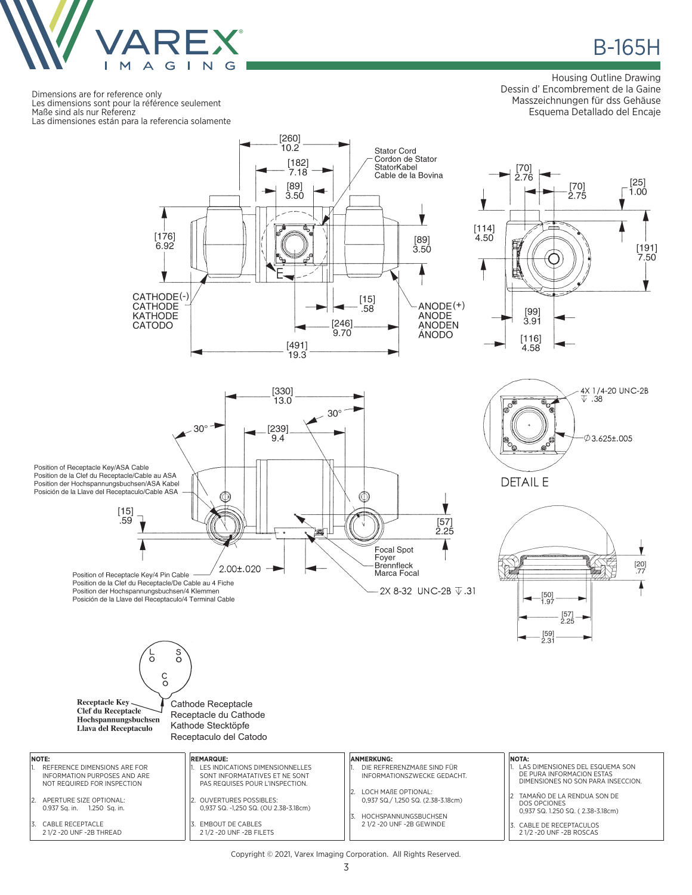

**B-165H** 

 $[25]$ 

 $1.00$ 

 $[191]$ <br>7.50

Dimensions are for reference only Les dimensions sont pour la référence seulement Maße sind als nur Referenz Las dimensiones están para la referencia solamente

**NOTE:**

CABLE RECEPTACLE 2 1/2 -20 UNF -2B THREAD

#### Housing Outline Drawing Dessin d' Encombrement de la Gaine Masszeichnungen für dss Gehäuse Esquema Detallado del Encaje

 $[70]$ 

 $2.75$ 







 $\frac{c}{\circ}$ Receptacle Key Cathode Receptacle Clef du Receptacle Receptacle du Cathode Hochspannungsbuchsen Kathode Stecktöpfe Llava del Receptaculo Receptaculo del Catodo **ANMERKUNG: REMARQUE:** REFERENCE DIMENSIONS ARE FOR LES INDICATIONS DIMENSIONNELLES 1. DIE REFRERENZMAßE SIND FÜR INFORMATION PURPOSES AND ARE SONT INFORMATATIVES ET NE SONT INFORMATIONSZWECKE GEDACHT. NOT REQUIRED FOR INSPECTION PAS REQUISES POUR L'INSPECTION. 2. LOCH MAßE OPTIONAL: 2. APERTURE SIZE OPTIONAL: 2. OUVERTURES POSSIBLES: 0,937 SQ./ 1,250 SQ. (2.38-3.18cm) 0.937 Sq. in. 1.250 Sq. in. 0,937 SQ. -1,250 SQ. (OU 2.38-3.18cm)

> 3. EMBOUT DE CABLES 2 1/2 -20 UNF -2B FILETS

S<br>O

3. HOCHSPANNUNGSBUCHSEN 2 1/2 -20 UNF -2B GEWINDE

#### **NOTA:** 1. LAS DIMENSIONES DEL ESQUEMA SON DE PURA INFORMACION ESTAS DIMENSIONES NO SON PARA INSECCION.

TAMAÑO DE LA RENDUA SON DE DOS OPCIONES 0,937 SQ. 1.250 SQ. ( 2.38-3.18cm)

3. CABLE DE RECEPTACULOS 2 1/2 -20 UNF -2B ROSCAS

Copyright © 2021, Varex Imaging Corporation. All Rights Reserved.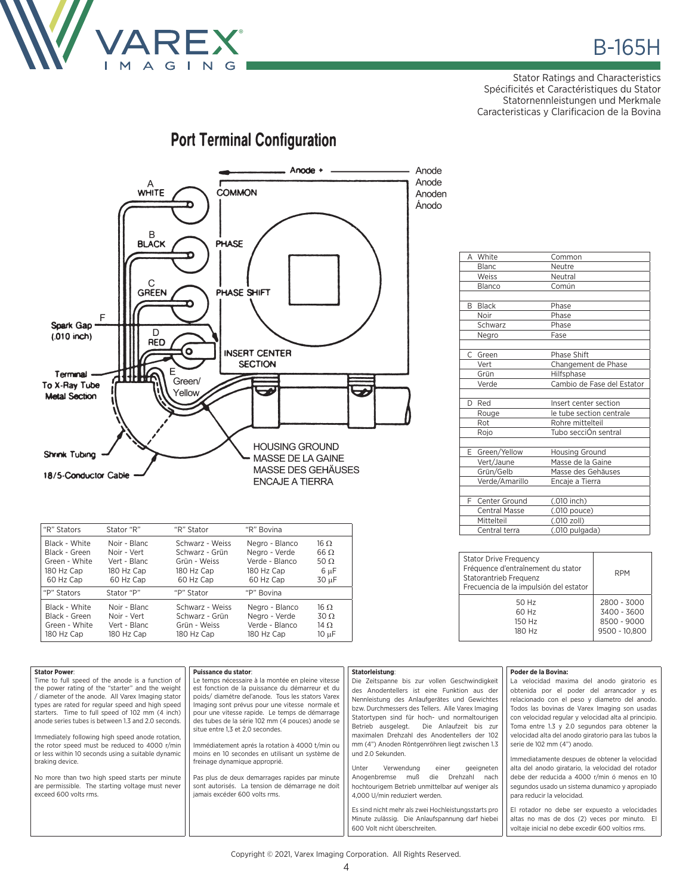

Stator Ratings and Characteristics Spécificités et Caractéristiques du Stator Statornennleistungen und Merkmale Caracteristicas y Clarificacion de la Bovina

# **Port Terminal Configuration**



| "R" Stators   | Stator "R"   | "R" Stator      | "R" Bovina     |             |
|---------------|--------------|-----------------|----------------|-------------|
| Black - White | Noir - Blanc | Schwarz - Weiss | Negro - Blanco | $16 \Omega$ |
| Black - Green | Noir - Vert  | Schwarz - Grün  | Negro - Verde  | $66 \Omega$ |
| Green - White | Vert - Blanc | Grün - Weiss    | Verde - Blanco | 50 $\Omega$ |
| 180 Hz Cap    | 180 Hz Cap   | 180 Hz Cap      | 180 Hz Cap     | 6 µF        |
| 60 Hz Cap     | 60 Hz Cap    | 60 Hz Cap       | 60 Hz Cap      | 30 µF       |
| "P" Stators   | Stator "P"   | "P" Stator      | "P" Bovina     |             |
| Black - White | Noir - Blanc | Schwarz - Weiss | Negro - Blanco | $16 \Omega$ |
| Black - Green | Noir - Vert  | Schwarz - Grün  | Negro - Verde  | $30\Omega$  |
| Green - White | Vert - Blanc | Grün - Weiss    | Verde - Blanco | 14 $\Omega$ |
| 180 Hz Cap    | 180 Hz Cap   | 180 Hz Cap      | 180 Hz Cap     | $10 \mu F$  |

| А  | White                | Common                     |
|----|----------------------|----------------------------|
|    | Blanc                | Neutre                     |
|    | Weiss                | Neutral                    |
|    | Blanco               | Común                      |
|    |                      |                            |
| B  | <b>Black</b>         | Phase                      |
|    | Noir                 | Phase                      |
|    | Schwarz              | Phase                      |
|    | Negro                | Fase                       |
|    |                      |                            |
| C  | Green                | <b>Phase Shift</b>         |
|    | Vert                 | Changement de Phase        |
|    | Grün                 | Hilfsphase                 |
|    | Verde                | Cambio de Fase del Estator |
|    |                      |                            |
| D  | Red                  | Insert center section      |
|    | Rouge                | le tube section centrale   |
|    | Rot                  | Rohre mittelteil           |
|    | Rojo                 | Tubo secciÓn sentral       |
|    |                      |                            |
| E. | Green/Yellow         | Housing Ground             |
|    | Vert/Jaune           | Masse de la Gaine          |
|    | Grün/Gelb            | Masse des Gehäuses         |
|    | Verde/Amarillo       | Encaje a Tierra            |
|    |                      |                            |
| F. | Center Ground        | (.010 inch)                |
|    | <b>Central Masse</b> | (.010 pouce)               |
|    | Mittelteil           | (.010 zoll)                |
|    | Central terra        | (.010 pulgada)             |

| <b>Stator Drive Frequency</b><br>Fréquence d'entraînement du stator<br>Statorantrieb Frequenz<br>Frecuencia de la impulsión del estator | <b>RPM</b>    |
|-----------------------------------------------------------------------------------------------------------------------------------------|---------------|
| 50 Hz                                                                                                                                   | 2800 - 3000   |
| 60 Hz                                                                                                                                   | 3400 - 3600   |
| 150 Hz                                                                                                                                  | 8500 - 9000   |
| 180 Hz                                                                                                                                  | 9500 - 10,800 |

| <b>Stator Power:</b><br>Puissance du stator:<br>Time to full speed of the anode is a function of<br>Le temps nécessaire à la montée en pleine vitesse<br>est fonction de la puissance du démarreur et du<br>the power rating of the "starter" and the weight<br>/ diameter of the anode. All Varex Imaging stator<br>poids/diamétre del'anode. Tous les stators Varex<br>types are rated for regular speed and high speed<br>Imaging sont prévus pour une vitesse normale et<br>starters. Time to full speed of 102 mm (4 inch)<br>pour une vitesse rapide. Le temps de démarrage<br>des tubes de la série 102 mm (4 pouces) anode se<br>anode series tubes is between 1.3 and 2.0 seconds.<br>situe entre 1.3 et 2.0 secondes.<br>Immediately following high speed anode rotation,<br>Immédiatement aprés la rotation à 4000 t/min ou<br>the rotor speed must be reduced to 4000 r/min<br>moins en 10 secondes en utilisant un système de<br>or less within 10 seconds using a suitable dynamic<br>braking device.<br>freinage dynamique approprié.<br>Pas plus de deux demarrages rapides par minute<br>No more than two high speed starts per minute<br>are permissible. The starting voltage must never<br>sont autorisés. La tension de démarrage ne doit<br>exceed 600 volts rms.<br>jamais excéder 600 volts rms. | Statorleistung:<br>Die Zeitspanne bis zur vollen Geschwindigkeit<br>des Anodentellers ist eine Funktion aus der<br>Nennleistung des Anlaufgerätes und Gewichtes<br>bzw. Durchmessers des Tellers. Alle Varex Imaging<br>Statortypen sind für hoch- und normaltourigen<br>Betrieb ausgelegt. Die Anlaufzeit bis zur<br>maximalen Drehzahl des Anodentellers der 102<br>mm (4") Anoden Röntgenröhren liegt zwischen 1.3<br>und 2.0 Sekunden.<br>Verwendung<br>Unter<br>einer<br>geeigneten<br>Anogenbremse muß<br>die<br>Drehzahl<br>nach<br>hochtourigem Betrieb unmittelbar auf weniger als<br>4,000 U/min reduziert werden.<br>Es sind nicht mehr als zwei Hochleistungsstarts pro<br>Minute zulässig. Die Anlaufspannung darf hiebei<br>600 Volt nicht überschreiten. | Poder de la Bovina:<br>La velocidad maxima del anodo giratorio es<br>obtenida por el poder del arrancador y es<br>relacionado con el peso y diametro del anodo.<br>Todos las bovinas de Varex Imaging son usadas<br>con velocidad regular y velocidad alta al principio.<br>Toma entre 1.3 y 2.0 segundos para obtener la<br>velocidad alta del anodo giratorio para las tubos la<br>serie de 102 mm (4") anodo.<br>Immediatamente despues de obtener la velocidad<br>alta del anodo giratario, la velocidad del rotador<br>debe der reducida a 4000 r/min ó menos en 10<br>segundos usado un sistema dunamico y apropiado<br>para reducir la velocidad.<br>El rotador no debe ser expuesto a velocidades<br>altas no mas de dos (2) veces por minuto. El<br>voltaie inicial no debe excedir 600 voltios rms. |
|--------------------------------------------------------------------------------------------------------------------------------------------------------------------------------------------------------------------------------------------------------------------------------------------------------------------------------------------------------------------------------------------------------------------------------------------------------------------------------------------------------------------------------------------------------------------------------------------------------------------------------------------------------------------------------------------------------------------------------------------------------------------------------------------------------------------------------------------------------------------------------------------------------------------------------------------------------------------------------------------------------------------------------------------------------------------------------------------------------------------------------------------------------------------------------------------------------------------------------------------------------------------------------------------------------------------------|-------------------------------------------------------------------------------------------------------------------------------------------------------------------------------------------------------------------------------------------------------------------------------------------------------------------------------------------------------------------------------------------------------------------------------------------------------------------------------------------------------------------------------------------------------------------------------------------------------------------------------------------------------------------------------------------------------------------------------------------------------------------------|---------------------------------------------------------------------------------------------------------------------------------------------------------------------------------------------------------------------------------------------------------------------------------------------------------------------------------------------------------------------------------------------------------------------------------------------------------------------------------------------------------------------------------------------------------------------------------------------------------------------------------------------------------------------------------------------------------------------------------------------------------------------------------------------------------------|
|--------------------------------------------------------------------------------------------------------------------------------------------------------------------------------------------------------------------------------------------------------------------------------------------------------------------------------------------------------------------------------------------------------------------------------------------------------------------------------------------------------------------------------------------------------------------------------------------------------------------------------------------------------------------------------------------------------------------------------------------------------------------------------------------------------------------------------------------------------------------------------------------------------------------------------------------------------------------------------------------------------------------------------------------------------------------------------------------------------------------------------------------------------------------------------------------------------------------------------------------------------------------------------------------------------------------------|-------------------------------------------------------------------------------------------------------------------------------------------------------------------------------------------------------------------------------------------------------------------------------------------------------------------------------------------------------------------------------------------------------------------------------------------------------------------------------------------------------------------------------------------------------------------------------------------------------------------------------------------------------------------------------------------------------------------------------------------------------------------------|---------------------------------------------------------------------------------------------------------------------------------------------------------------------------------------------------------------------------------------------------------------------------------------------------------------------------------------------------------------------------------------------------------------------------------------------------------------------------------------------------------------------------------------------------------------------------------------------------------------------------------------------------------------------------------------------------------------------------------------------------------------------------------------------------------------|

Copyright © 2021, Varex Imaging Corporation. All Rights Reserved.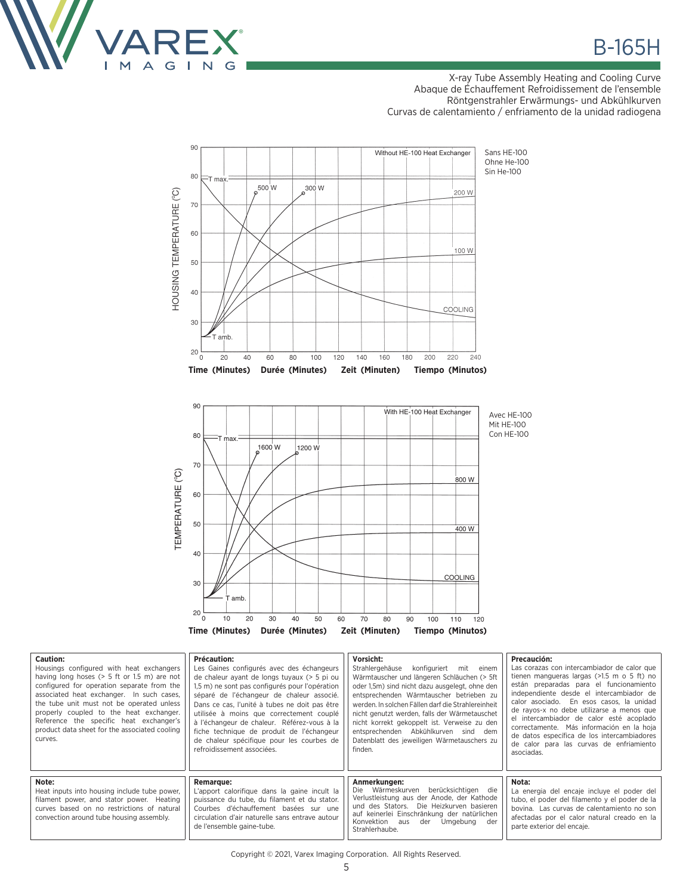

٦

X-ray Tube Assembly Heating and Cooling Curve Abaque de Échauffement Refroidissement de l'ensemble Röntgenstrahler Erwärmungs- und Abkühlkurven Curvas de calentamiento / enfriamento de la unidad radiogena



| <b>Caution:</b> |                       |  |
|-----------------|-----------------------|--|
|                 | Housings configured y |  |

| Lautivii.<br>Housings configured with heat exchangers<br>having long hoses ( $> 5$ ft or 1.5 m) are not<br>configured for operation separate from the<br>associated heat exchanger. In such cases,<br>the tube unit must not be operated unless<br>properly coupled to the heat exchanger.<br>Reference the specific heat exchanger's<br>product data sheet for the associated cooling<br>curves. | rictautivii.<br>Les Gaines configurés avec des échangeurs<br>de chaleur ayant de longs tuyaux (> 5 pi ou<br>1,5 m) ne sont pas configurés pour l'opération<br>séparé de l'échangeur de chaleur associé.<br>Dans ce cas. l'unité à tubes ne doit pas être<br>utilisée à moins que correctement couplé<br>à l'échangeur de chaleur. Référez-vous à la<br>fiche technique de produit de l'échangeur<br>de chaleur spécifique pour les courbes de<br>refroidissement associées. | , ,,,,,,,,,<br>Strahlergehäuse konfiguriert mit<br>einem<br>Wärmtauscher und längeren Schläuchen (> 5ft<br>oder 1,5m) sind nicht dazu ausgelegt, ohne den<br>entsprechenden Wärmtauscher betrieben zu<br>werden. In solchen Fällen darf die Strahlereinheit<br>nicht genutzt werden, falls der Wärmetauschet<br>nicht korrekt gekoppelt ist. Verweise zu den<br>entsprechenden Abkühlkurven sind dem<br>Datenblatt des jeweiligen Wärmetauschers zu<br>finden. | rictautivii.<br>Las corazas con intercambiador de calor que<br>tienen mangueras largas $(>1.5$ m o 5 ft) no<br>están preparadas para el funcionamiento<br>independiente desde el intercambiador de<br>calor asociado. En esos casos, la unidad<br>de ravos-x no debe utilizarse a menos que<br>el intercambiador de calor esté acoplado<br>correctamente. Más información en la hoja<br>de datos específica de los intercambiadores<br>de calor para las curvas de enfriamiento<br>asociadas. |
|---------------------------------------------------------------------------------------------------------------------------------------------------------------------------------------------------------------------------------------------------------------------------------------------------------------------------------------------------------------------------------------------------|-----------------------------------------------------------------------------------------------------------------------------------------------------------------------------------------------------------------------------------------------------------------------------------------------------------------------------------------------------------------------------------------------------------------------------------------------------------------------------|----------------------------------------------------------------------------------------------------------------------------------------------------------------------------------------------------------------------------------------------------------------------------------------------------------------------------------------------------------------------------------------------------------------------------------------------------------------|-----------------------------------------------------------------------------------------------------------------------------------------------------------------------------------------------------------------------------------------------------------------------------------------------------------------------------------------------------------------------------------------------------------------------------------------------------------------------------------------------|
| Note:<br>Heat inputs into housing include tube power,<br>filament power, and stator power. Heating<br>curves based on no restrictions of natural<br>convection around tube housing assembly.                                                                                                                                                                                                      | <b>Remarque:</b><br>L'apport calorifique dans la gaine incult la<br>puissance du tube, du filament et du stator.<br>Courbes d'échauffement basées sur une<br>circulation d'air naturelle sans entrave autour<br>de l'ensemble gaine-tube.                                                                                                                                                                                                                                   | Anmerkungen:<br>Die Wärmeskurven<br>berücksichtigen die<br>Verlustleistung aus der Anode, der Kathode<br>und des Stators. Die Heizkurven basieren<br>auf keinerlei Einschränkung der natürlichen<br>Konvektion aus<br>der Umgebung der<br>Strahlerhaube.                                                                                                                                                                                                       | Nota:<br>La energia del encaje incluye el poder del<br>tubo, el poder del filamento y el poder de la<br>bovina. Las curvas de calentamiento no son<br>afectadas por el calor natural creado en la<br>parte exterior del encaie.                                                                                                                                                                                                                                                               |